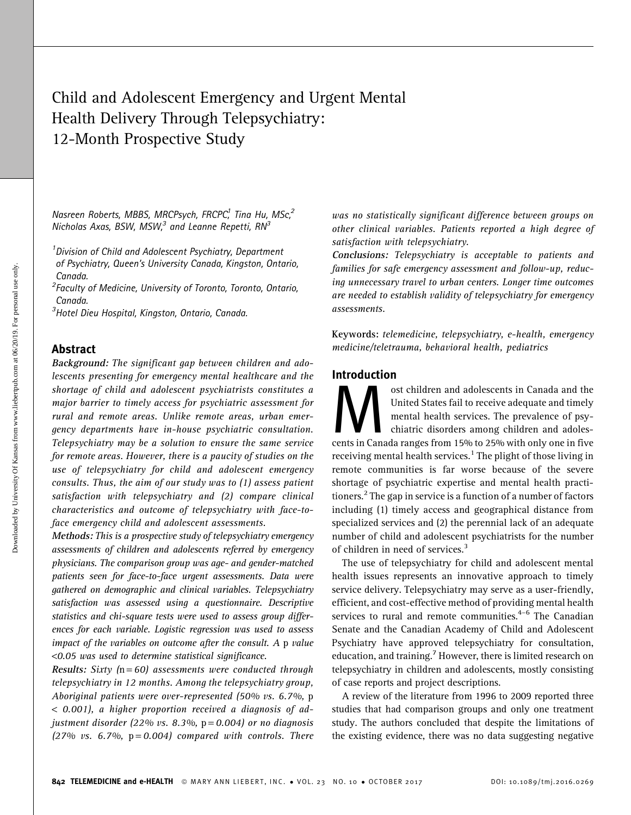# Child and Adolescent Emergency and Urgent Mental Health Delivery Through Telepsychiatry: 12-Month Prospective Study

Nasreen Roberts, MBBS, MRCPsych, FRCPC<sup>1</sup>, Tina Hu, MSc,<sup>2</sup> Nicholas Axas, BSW, MSW, $3$  and Leanne Repetti, RN $3$ 

<sup>1</sup> Division of Child and Adolescent Psychiatry, Department of Psychiatry, Queen's University Canada, Kingston, Ontario, Canada.

<sup>2</sup> Faculty of Medicine, University of Toronto, Toronto, Ontario, Canada.

<sup>3</sup> Hotel Dieu Hospital, Kingston, Ontario, Canada.

### Abstract

Background: The significant gap between children and adolescents presenting for emergency mental healthcare and the shortage of child and adolescent psychiatrists constitutes a major barrier to timely access for psychiatric assessment for rural and remote areas. Unlike remote areas, urban emergency departments have in-house psychiatric consultation. Telepsychiatry may be a solution to ensure the same service for remote areas. However, there is a paucity of studies on the use of telepsychiatry for child and adolescent emergency consults. Thus, the aim of our study was to (1) assess patient satisfaction with telepsychiatry and (2) compare clinical characteristics and outcome of telepsychiatry with face-toface emergency child and adolescent assessments.

Methods: This is a prospective study of telepsychiatry emergency assessments of children and adolescents referred by emergency physicians. The comparison group was age- and gender-matched patients seen for face-to-face urgent assessments. Data were gathered on demographic and clinical variables. Telepsychiatry satisfaction was assessed using a questionnaire. Descriptive statistics and chi-square tests were used to assess group differences for each variable. Logistic regression was used to assess impact of the variables on outcome after the consult. A p value <0.05 was used to determine statistical significance.

Results: Sixty  $(n = 60)$  assessments were conducted through telepsychiatry in 12 months. Among the telepsychiatry group, Aboriginal patients were over-represented (50% vs. 6.7%, p < 0.001), a higher proportion received a diagnosis of adjustment disorder (22% vs. 8.3%,  $p = 0.004$ ) or no diagnosis (27% vs. 6.7%,  $p = 0.004$ ) compared with controls. There

was no statistically significant difference between groups on other clinical variables. Patients reported a high degree of satisfaction with telepsychiatry.

Conclusions: Telepsychiatry is acceptable to patients and families for safe emergency assessment and follow-up, reducing unnecessary travel to urban centers. Longer time outcomes are needed to establish validity of telepsychiatry for emergency assessments.

Keywords: telemedicine, telepsychiatry, e-health, emergency medicine/teletrauma, behavioral health, pediatrics

## Introduction

Most children and adolescents in Canada and the<br>United States fail to receive adequate and timely<br>mental health services. The prevalence of psy-<br>chiatric disorders among children and adoles-<br>cents in Canada ranges from 15% United States fail to receive adequate and timely mental health services. The prevalence of psychiatric disorders among children and adolesreceiving mental health services.<sup>1</sup> The plight of those living in remote communities is far worse because of the severe shortage of psychiatric expertise and mental health practitioners. $^2$  The gap in service is a function of a number of factors including (1) timely access and geographical distance from specialized services and (2) the perennial lack of an adequate number of child and adolescent psychiatrists for the number of children in need of services.<sup>3</sup>

The use of telepsychiatry for child and adolescent mental health issues represents an innovative approach to timely service delivery. Telepsychiatry may serve as a user-friendly, efficient, and cost-effective method of providing mental health services to rural and remote communities.<sup>4-6</sup> The Canadian Senate and the Canadian Academy of Child and Adolescent Psychiatry have approved telepsychiatry for consultation, education, and training.<sup>7</sup> However, there is limited research on telepsychiatry in children and adolescents, mostly consisting of case reports and project descriptions.

A review of the literature from 1996 to 2009 reported three studies that had comparison groups and only one treatment study. The authors concluded that despite the limitations of the existing evidence, there was no data suggesting negative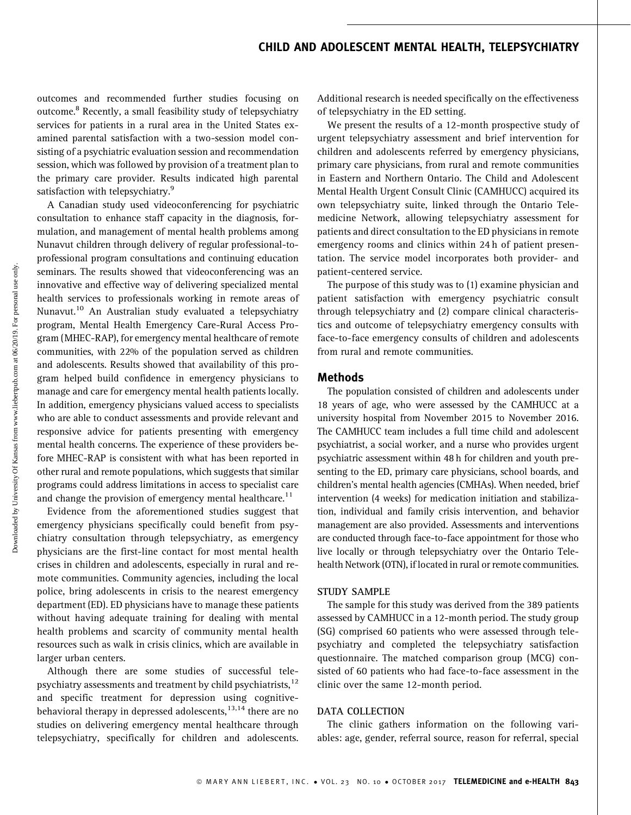# CHILD AND ADOLESCENT MENTAL HEALTH, TELEPSYCHIATRY

outcomes and recommended further studies focusing on outcome.8 Recently, a small feasibility study of telepsychiatry services for patients in a rural area in the United States examined parental satisfaction with a two-session model consisting of a psychiatric evaluation session and recommendation session, which was followed by provision of a treatment plan to the primary care provider. Results indicated high parental satisfaction with telepsychiatry.<sup>9</sup>

A Canadian study used videoconferencing for psychiatric consultation to enhance staff capacity in the diagnosis, formulation, and management of mental health problems among Nunavut children through delivery of regular professional-toprofessional program consultations and continuing education seminars. The results showed that videoconferencing was an innovative and effective way of delivering specialized mental health services to professionals working in remote areas of Nunavut.<sup>10</sup> An Australian study evaluated a telepsychiatry program, Mental Health Emergency Care-Rural Access Program (MHEC-RAP), for emergency mental healthcare of remote communities, with 22% of the population served as children and adolescents. Results showed that availability of this program helped build confidence in emergency physicians to manage and care for emergency mental health patients locally. In addition, emergency physicians valued access to specialists who are able to conduct assessments and provide relevant and responsive advice for patients presenting with emergency mental health concerns. The experience of these providers before MHEC-RAP is consistent with what has been reported in other rural and remote populations, which suggests that similar programs could address limitations in access to specialist care and change the provision of emergency mental healthcare.<sup>11</sup>

Evidence from the aforementioned studies suggest that emergency physicians specifically could benefit from psychiatry consultation through telepsychiatry, as emergency physicians are the first-line contact for most mental health crises in children and adolescents, especially in rural and remote communities. Community agencies, including the local police, bring adolescents in crisis to the nearest emergency department (ED). ED physicians have to manage these patients without having adequate training for dealing with mental health problems and scarcity of community mental health resources such as walk in crisis clinics, which are available in larger urban centers.

Although there are some studies of successful telepsychiatry assessments and treatment by child psychiatrists,<sup>12</sup> and specific treatment for depression using cognitivebehavioral therapy in depressed adolescents,  $13,14$  there are no studies on delivering emergency mental healthcare through telepsychiatry, specifically for children and adolescents. Additional research is needed specifically on the effectiveness of telepsychiatry in the ED setting.

We present the results of a 12-month prospective study of urgent telepsychiatry assessment and brief intervention for children and adolescents referred by emergency physicians, primary care physicians, from rural and remote communities in Eastern and Northern Ontario. The Child and Adolescent Mental Health Urgent Consult Clinic (CAMHUCC) acquired its own telepsychiatry suite, linked through the Ontario Telemedicine Network, allowing telepsychiatry assessment for patients and direct consultation to the ED physicians in remote emergency rooms and clinics within 24 h of patient presentation. The service model incorporates both provider- and patient-centered service.

The purpose of this study was to (1) examine physician and patient satisfaction with emergency psychiatric consult through telepsychiatry and (2) compare clinical characteristics and outcome of telepsychiatry emergency consults with face-to-face emergency consults of children and adolescents from rural and remote communities.

# Methods

The population consisted of children and adolescents under 18 years of age, who were assessed by the CAMHUCC at a university hospital from November 2015 to November 2016. The CAMHUCC team includes a full time child and adolescent psychiatrist, a social worker, and a nurse who provides urgent psychiatric assessment within 48 h for children and youth presenting to the ED, primary care physicians, school boards, and children's mental health agencies (CMHAs). When needed, brief intervention (4 weeks) for medication initiation and stabilization, individual and family crisis intervention, and behavior management are also provided. Assessments and interventions are conducted through face-to-face appointment for those who live locally or through telepsychiatry over the Ontario Telehealth Network (OTN), if located in rural or remote communities.

#### STUDY SAMPLE

The sample for this study was derived from the 389 patients assessed by CAMHUCC in a 12-month period. The study group (SG) comprised 60 patients who were assessed through telepsychiatry and completed the telepsychiatry satisfaction questionnaire. The matched comparison group (MCG) consisted of 60 patients who had face-to-face assessment in the clinic over the same 12-month period.

#### DATA COLLECTION

The clinic gathers information on the following variables: age, gender, referral source, reason for referral, special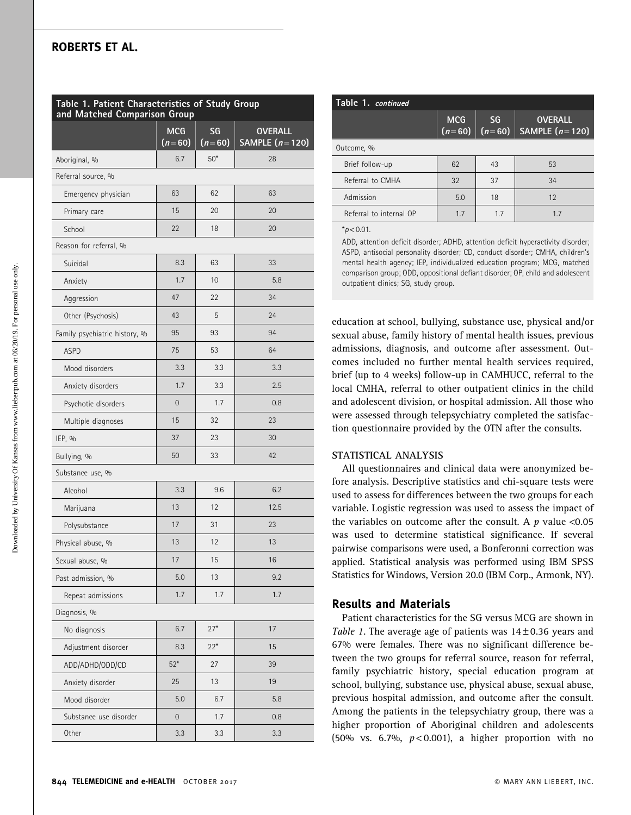| Table 1. Patient Characteristics of Study Group<br>and Matched Comparison Group |                        |                |                                    |  |
|---------------------------------------------------------------------------------|------------------------|----------------|------------------------------------|--|
|                                                                                 | <b>MCG</b><br>$(n=60)$ | SG<br>$(n=60)$ | <b>OVERALL</b><br>SAMPLE $(n=120)$ |  |
| Aboriginal, %                                                                   | 6.7                    | $50*$          | 28                                 |  |
| Referral source, %                                                              |                        |                |                                    |  |
| Emergency physician                                                             | 63                     | 62             | 63                                 |  |
| Primary care                                                                    | 15                     | 20             | 20                                 |  |
| School                                                                          | 22                     | 18             | 20                                 |  |
| Reason for referral, %                                                          |                        |                |                                    |  |
| Suicidal                                                                        | 8.3                    | 63             | 33                                 |  |
| Anxiety                                                                         | 1.7                    | 10             | 5.8                                |  |
| Aggression                                                                      | 47                     | 22             | 34                                 |  |
| Other (Psychosis)                                                               | 43                     | 5              | 24                                 |  |
| Family psychiatric history, %                                                   | 95                     | 93             | 94                                 |  |
| <b>ASPD</b>                                                                     | 75                     | 53             | 64                                 |  |
| Mood disorders                                                                  | 3.3                    | 3.3            | 3.3                                |  |
| Anxiety disorders                                                               | 1.7                    | 3.3            | 2.5                                |  |
| Psychotic disorders                                                             | $\overline{0}$         | 1.7            | 0.8                                |  |
| Multiple diagnoses                                                              | 15                     | 32             | 23                                 |  |
| IEP, %                                                                          | 37                     | 23             | 30                                 |  |
| Bullying, %                                                                     | 50                     | 33             | 42                                 |  |
| Substance use, %                                                                |                        |                |                                    |  |
| Alcohol                                                                         | 3.3                    | 9.6            | 6.2                                |  |
| Marijuana                                                                       | 13                     | 12             | 12.5                               |  |
| Polysubstance                                                                   | 17                     | 31             | 23                                 |  |
| Physical abuse, %                                                               | 13                     | 12             | 13                                 |  |
| Sexual abuse, %                                                                 | 17                     | 15             | 16                                 |  |
| Past admission, %                                                               | 5.0                    | 13             | 9.2                                |  |
| Repeat admissions                                                               | 1.7                    | 1.7            | 1.7                                |  |
| Diagnosis, %                                                                    |                        |                |                                    |  |
| No diagnosis                                                                    | 6.7                    | $27*$          | 17                                 |  |
| Adjustment disorder                                                             | 8.3                    | $22*$          | 15                                 |  |
| ADD/ADHD/ODD/CD                                                                 | $52*$                  | 27             | 39                                 |  |
| Anxiety disorder                                                                | 25                     | 13             | 19                                 |  |
| Mood disorder                                                                   | 5.0                    | 6.7            | 5.8                                |  |
| Substance use disorder                                                          | $\mathsf{O}\xspace$    | 1.7            | 0.8                                |  |
| Other                                                                           | 3.3                    | 3.3            | 3.3                                |  |

| Table 1. continued        |                        |                |                                    |  |  |
|---------------------------|------------------------|----------------|------------------------------------|--|--|
|                           | <b>MCG</b><br>$(n=60)$ | SG<br>$(n=60)$ | <b>OVERALL</b><br>SAMPLE $(n=120)$ |  |  |
| Outcome, %                |                        |                |                                    |  |  |
| Brief follow-up           | 62                     | 43             | 53                                 |  |  |
| Referral to CMHA          | 32                     | 37             | 34                                 |  |  |
| Admission                 | 5.0                    | 18             | 12                                 |  |  |
| Referral to internal OP   | 1.7                    | 1.7            | 1.7                                |  |  |
| $\mathbf{x}$ $\mathbf{a}$ |                        |                |                                    |  |  |

 $*_{p < 0.01}$ .

ADD, attention deficit disorder; ADHD, attention deficit hyperactivity disorder; ASPD, antisocial personality disorder; CD, conduct disorder; CMHA, children's mental health agency; IEP, individualized education program; MCG, matched comparison group; ODD, oppositional defiant disorder; OP, child and adolescent outpatient clinics; SG, study group.

education at school, bullying, substance use, physical and/or sexual abuse, family history of mental health issues, previous admissions, diagnosis, and outcome after assessment. Outcomes included no further mental health services required, brief (up to 4 weeks) follow-up in CAMHUCC, referral to the local CMHA, referral to other outpatient clinics in the child and adolescent division, or hospital admission. All those who were assessed through telepsychiatry completed the satisfaction questionnaire provided by the OTN after the consults.

## STATISTICAL ANALYSIS

All questionnaires and clinical data were anonymized before analysis. Descriptive statistics and chi-square tests were used to assess for differences between the two groups for each variable. Logistic regression was used to assess the impact of the variables on outcome after the consult. A  $p$  value <0.05 was used to determine statistical significance. If several pairwise comparisons were used, a Bonferonni correction was applied. Statistical analysis was performed using IBM SPSS Statistics for Windows, Version 20.0 (IBM Corp., Armonk, NY).

# Results and Materials

Patient characteristics for the SG versus MCG are shown in Table 1. The average age of patients was  $14 \pm 0.36$  years and 67% were females. There was no significant difference between the two groups for referral source, reason for referral, family psychiatric history, special education program at school, bullying, substance use, physical abuse, sexual abuse, previous hospital admission, and outcome after the consult. Among the patients in the telepsychiatry group, there was a higher proportion of Aboriginal children and adolescents (50% vs. 6.7%,  $p < 0.001$ ), a higher proportion with no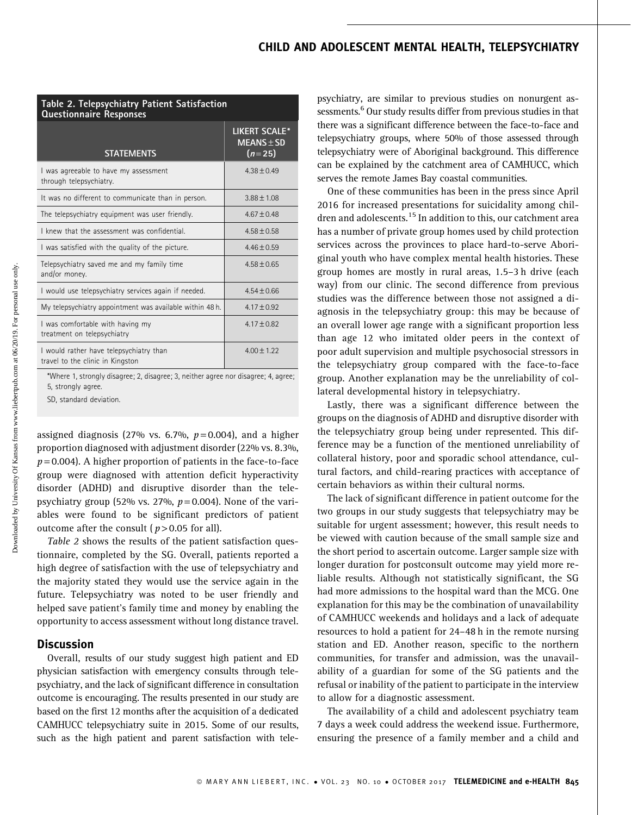# CHILD AND ADOLESCENT MENTAL HEALTH, TELEPSYCHIATRY

| Table 2. Telepsychiatry Patient Satisfaction<br><b>Questionnaire Responses</b> |                                                    |  |  |  |
|--------------------------------------------------------------------------------|----------------------------------------------------|--|--|--|
| <b>STATEMENTS</b>                                                              | <b>LIKERT SCALE*</b><br>$MEANS \pm SD$<br>$(n=25)$ |  |  |  |
| I was agreeable to have my assessment<br>through telepsychiatry.               | $4.38 \pm 0.49$                                    |  |  |  |
| It was no different to communicate than in person.                             | $3.88 \pm 1.08$                                    |  |  |  |
| The telepsychiatry equipment was user friendly.                                | $4.67 \pm 0.48$                                    |  |  |  |
| I knew that the assessment was confidential.                                   | $4.58 \pm 0.58$                                    |  |  |  |
| I was satisfied with the quality of the picture.                               | $4.46 \pm 0.59$                                    |  |  |  |
| Telepsychiatry saved me and my family time<br>and/or money.                    | $4.58 \pm 0.65$                                    |  |  |  |
| I would use telepsychiatry services again if needed.                           | $4.54 \pm 0.66$                                    |  |  |  |
| My telepsychiatry appointment was available within 48 h.                       | $4.17 \pm 0.92$                                    |  |  |  |
| I was comfortable with having my<br>treatment on telepsychiatry                | $4.17 \pm 0.82$                                    |  |  |  |
| I would rather have telepsychiatry than<br>travel to the clinic in Kingston    | $4.00 \pm 1.22$                                    |  |  |  |

\*Where 1, strongly disagree; 2, disagree; 3, neither agree nor disagree; 4, agree; 5, strongly agree.

SD, standard deviation.

assigned diagnosis (27% vs. 6.7%,  $p=0.004$ ), and a higher proportion diagnosed with adjustment disorder (22% vs. 8.3%,  $p = 0.004$ ). A higher proportion of patients in the face-to-face group were diagnosed with attention deficit hyperactivity disorder (ADHD) and disruptive disorder than the telepsychiatry group (52% vs. 27%,  $p = 0.004$ ). None of the variables were found to be significant predictors of patient outcome after the consult ( $p > 0.05$  for all).

Table 2 shows the results of the patient satisfaction questionnaire, completed by the SG. Overall, patients reported a high degree of satisfaction with the use of telepsychiatry and the majority stated they would use the service again in the future. Telepsychiatry was noted to be user friendly and helped save patient's family time and money by enabling the opportunity to access assessment without long distance travel.

# **Discussion**

Overall, results of our study suggest high patient and ED physician satisfaction with emergency consults through telepsychiatry, and the lack of significant difference in consultation outcome is encouraging. The results presented in our study are based on the first 12 months after the acquisition of a dedicated CAMHUCC telepsychiatry suite in 2015. Some of our results, such as the high patient and parent satisfaction with tele-

psychiatry, are similar to previous studies on nonurgent assessments.<sup>6</sup> Our study results differ from previous studies in that there was a significant difference between the face-to-face and telepsychiatry groups, where 50% of those assessed through telepsychiatry were of Aboriginal background. This difference can be explained by the catchment area of CAMHUCC, which serves the remote James Bay coastal communities.

One of these communities has been in the press since April 2016 for increased presentations for suicidality among children and adolescents.<sup>15</sup> In addition to this, our catchment area has a number of private group homes used by child protection services across the provinces to place hard-to-serve Aboriginal youth who have complex mental health histories. These group homes are mostly in rural areas, 1.5–3 h drive (each way) from our clinic. The second difference from previous studies was the difference between those not assigned a diagnosis in the telepsychiatry group: this may be because of an overall lower age range with a significant proportion less than age 12 who imitated older peers in the context of poor adult supervision and multiple psychosocial stressors in the telepsychiatry group compared with the face-to-face group. Another explanation may be the unreliability of collateral developmental history in telepsychiatry.

Lastly, there was a significant difference between the groups on the diagnosis of ADHD and disruptive disorder with the telepsychiatry group being under represented. This difference may be a function of the mentioned unreliability of collateral history, poor and sporadic school attendance, cultural factors, and child-rearing practices with acceptance of certain behaviors as within their cultural norms.

The lack of significant difference in patient outcome for the two groups in our study suggests that telepsychiatry may be suitable for urgent assessment; however, this result needs to be viewed with caution because of the small sample size and the short period to ascertain outcome. Larger sample size with longer duration for postconsult outcome may yield more reliable results. Although not statistically significant, the SG had more admissions to the hospital ward than the MCG. One explanation for this may be the combination of unavailability of CAMHUCC weekends and holidays and a lack of adequate resources to hold a patient for 24–48 h in the remote nursing station and ED. Another reason, specific to the northern communities, for transfer and admission, was the unavailability of a guardian for some of the SG patients and the refusal or inability of the patient to participate in the interview to allow for a diagnostic assessment.

The availability of a child and adolescent psychiatry team 7 days a week could address the weekend issue. Furthermore, ensuring the presence of a family member and a child and